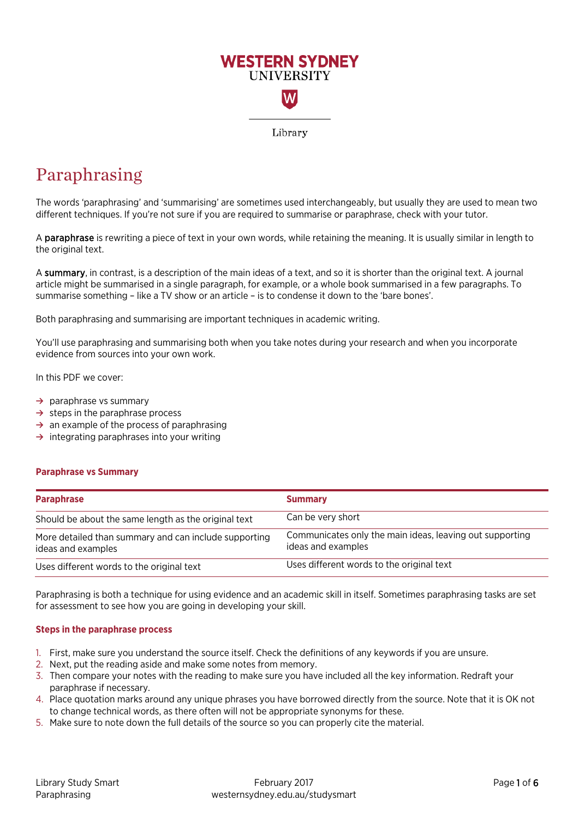

# Paraphrasing

The words 'paraphrasing' and 'summarising' are sometimes used interchangeably, but usually they are used to mean two different techniques. If you're not sure if you are required to summarise or paraphrase, check with your tutor.

A paraphrase is rewriting a piece of text in your own words, while retaining the meaning. It is usually similar in length to the original text.

A summary, in contrast, is a description of the main ideas of a text, and so it is shorter than the original text. A journal article might be summarised in a single paragraph, for example, or a whole book summarised in a few paragraphs. To summarise something – like a TV show or an article – is to condense it down to the 'bare bones'.

Both paraphrasing and summarising are important techniques in academic writing.

You'll use paraphrasing and summarising both when you take notes during your research and when you incorporate evidence from sources into your own work.

In this PDF we cover:

- **→** paraphrase vs summary
- **→** steps in the paraphrase process
- **→** an example of the process of paraphrasing
- **→** integrating paraphrases into your writing

#### **Paraphrase vs Summary**

| <b>Paraphrase</b>                                                           | <b>Summary</b>                                                                 |
|-----------------------------------------------------------------------------|--------------------------------------------------------------------------------|
| Should be about the same length as the original text                        | Can be very short                                                              |
| More detailed than summary and can include supporting<br>ideas and examples | Communicates only the main ideas, leaving out supporting<br>ideas and examples |
| Uses different words to the original text                                   | Uses different words to the original text                                      |

Paraphrasing is both a technique for using evidence and an academic skill in itself. Sometimes paraphrasing tasks are set for assessment to see how you are going in developing your skill.

## **Steps in the paraphrase process**

- 1. First, make sure you understand the source itself. Check the definitions of any keywords if you are unsure.
- 2. Next, put the reading aside and make some notes from memory.
- 3. Then compare your notes with the reading to make sure you have included all the key information. Redraft your paraphrase if necessary.
- 4. Place quotation marks around any unique phrases you have borrowed directly from the source. Note that it is OK not to change technical words, as there often will not be appropriate synonyms for these.
- 5. Make sure to note down the full details of the source so you can properly cite the material.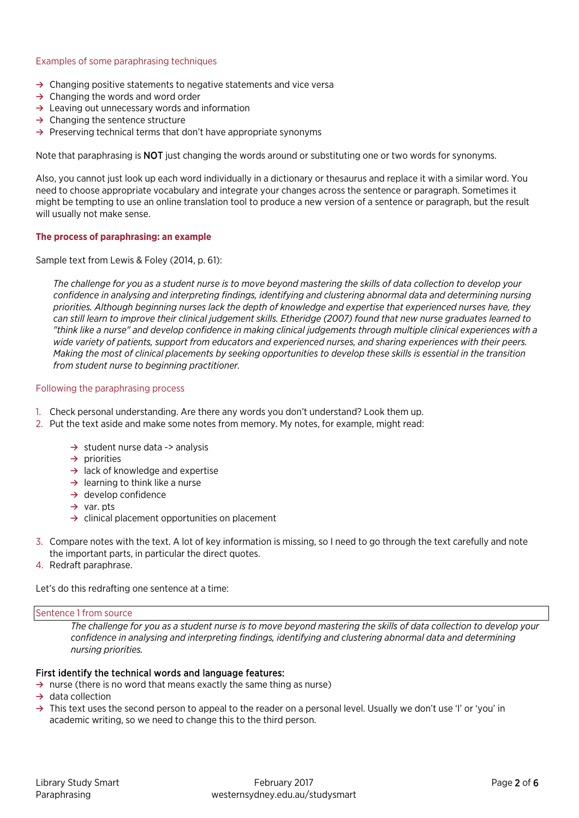## Examples of some paraphrasing techniques

- **→** Changing positive statements to negative statements and vice versa
- **→** Changing the words and word order
- **→** Leaving out unnecessary words and information
- **→** Changing the sentence structure
- **→** Preserving technical terms that don't have appropriate synonyms

Note that paraphrasing is **NOT** just changing the words around or substituting one or two words for synonyms.

Also, you cannot just look up each word individually in a dictionary or thesaurus and replace it with a similar word. You need to choose appropriate vocabulary and integrate your changes across the sentence or paragraph. Sometimes it might be tempting to use an online translation tool to produce a new version of a sentence or paragraph, but the result will usually not make sense.

## **The process of paraphrasing: an example**

Sample text from Lewis & Foley (2014, p. 61):

*The challenge for you as a student nurse is to move beyond mastering the skills of data collection to develop your confidence in analysing and interpreting findings, identifying and clustering abnormal data and determining nursing priorities. Although beginning nurses lack the depth of knowledge and expertise that experienced nurses have, they can still learn to improve their clinical judgement skills. Etheridge (2007) found that new nurse graduates learned to "think like a nurse" and develop confidence in making clinical judgements through multiple clinical experiences with a wide variety of patients, support from educators and experienced nurses, and sharing experiences with their peers. Making the most of clinical placements by seeking opportunities to develop these skills is essential in the transition from student nurse to beginning practitioner.*

#### Following the paraphrasing process

- 1. Check personal understanding. Are there any words you don't understand? Look them up.
- 2. Put the text aside and make some notes from memory. My notes, for example, might read:
	- **→** student nurse data -> analysis
	- **→** priorities
	- **→** lack of knowledge and expertise
	- **→** learning to think like a nurse
	- **→** develop confidence
	- **→** var. pts
	- **→** clinical placement opportunities on placement
- 3. Compare notes with the text. A lot of key information is missing, so I need to go through the text carefully and note the important parts, in particular the direct quotes.
- 4. Redraft paraphrase.

Let's do this redrafting one sentence at a time:

#### Sentence 1 from source

*The challenge for you as a student nurse is to move beyond mastering the skills of data collection to develop your confidence in analysing and interpreting findings, identifying and clustering abnormal data and determining nursing priorities.*

## First identify the technical words and language features:

- **→** nurse (there is no word that means exactly the same thing as nurse)
- **→** data collection
- **→** This text uses the second person to appeal to the reader on a personal level. Usually we don't use 'I' or 'you' in academic writing, so we need to change this to the third person.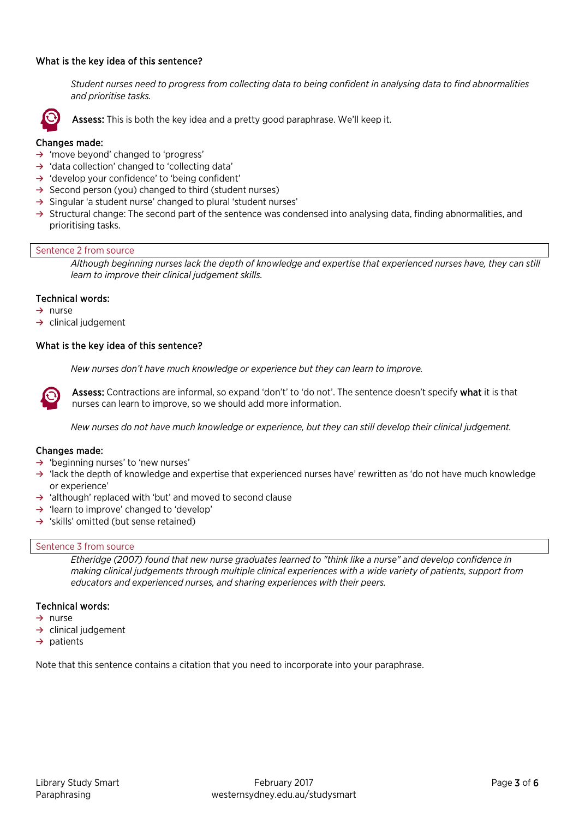## What is the key idea of this sentence?

*Student nurses need to progress from collecting data to being confident in analysing data to find abnormalities and prioritise tasks.*



Assess: This is both the key idea and a pretty good paraphrase. We'll keep it.

## Changes made:

- **→** 'move beyond' changed to 'progress'
- **→** 'data collection' changed to 'collecting data'
- **→** 'develop your confidence' to 'being confident'
- **→** Second person (you) changed to third (student nurses)
- **→** Singular 'a student nurse' changed to plural 'student nurses'
- **→** Structural change: The second part of the sentence was condensed into analysing data, finding abnormalities, and prioritising tasks.

#### Sentence 2 from source

*Although beginning nurses lack the depth of knowledge and expertise that experienced nurses have, they can still learn to improve their clinical judgement skills.*

#### Technical words:

- **→** nurse
- **→** clinical judgement

#### What is the key idea of this sentence?

*New nurses don't have much knowledge or experience but they can learn to improve.*



Assess: Contractions are informal, so expand 'don't' to 'do not'. The sentence doesn't specify what it is that nurses can learn to improve, so we should add more information.

*New nurses do not have much knowledge or experience, but they can still develop their clinical judgement.*

#### Changes made:

- **→** 'beginning nurses' to 'new nurses'
- **→** 'lack the depth of knowledge and expertise that experienced nurses have' rewritten as 'do not have much knowledge or experience'
- **→** 'although' replaced with 'but' and moved to second clause
- **→** 'learn to improve' changed to 'develop'
- **→** 'skills' omitted (but sense retained)

#### Sentence 3 from source

*Etheridge (2007) found that new nurse graduates learned to "think like a nurse" and develop confidence in making clinical judgements through multiple clinical experiences with a wide variety of patients, support from educators and experienced nurses, and sharing experiences with their peers.*

#### Technical words:

- **→** nurse
- **→** clinical judgement
- **→** patients

Note that this sentence contains a citation that you need to incorporate into your paraphrase.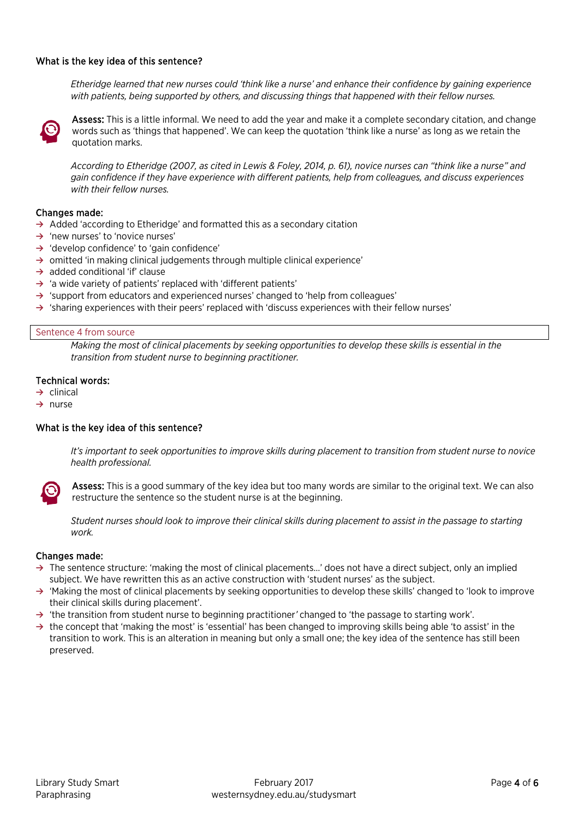## What is the key idea of this sentence?

*Etheridge learned that new nurses could 'think like a nurse' and enhance their confidence by gaining experience with patients, being supported by others, and discussing things that happened with their fellow nurses.*



Assess: This is a little informal. We need to add the year and make it a complete secondary citation, and change words such as 'things that happened'. We can keep the quotation 'think like a nurse' as long as we retain the quotation marks.

*According to Etheridge (2007, as cited in Lewis & Foley, 2014, p. 61), novice nurses can "think like a nurse" and gain confidence if they have experience with different patients, help from colleagues, and discuss experiences with their fellow nurses.*

## Changes made:

- **→** Added 'according to Etheridge' and formatted this as a secondary citation
- **→** 'new nurses' to 'novice nurses'
- **→** 'develop confidence' to 'gain confidence'
- **→** omitted 'in making clinical judgements through multiple clinical experience'
- **→** added conditional 'if' clause
- **→** 'a wide variety of patients' replaced with 'different patients'
- **→** 'support from educators and experienced nurses' changed to 'help from colleagues'
- **→** 'sharing experiences with their peers' replaced with 'discuss experiences with their fellow nurses'

#### Sentence 4 from source

*Making the most of clinical placements by seeking opportunities to develop these skills is essential in the transition from student nurse to beginning practitioner.*

## Technical words:

- **→** clinical
- **→** nurse

#### What is the key idea of this sentence?

*It's important to seek opportunities to improve skills during placement to transition from student nurse to novice health professional.*



Assess: This is a good summary of the key idea but too many words are similar to the original text. We can also restructure the sentence so the student nurse is at the beginning.

*Student nurses should look to improve their clinical skills during placement to assist in the passage to starting work.*

#### Changes made:

- **→** The sentence structure: 'making the most of clinical placements…' does not have a direct subject, only an implied subject. We have rewritten this as an active construction with 'student nurses' as the subject.
- **→** 'Making the most of clinical placements by seeking opportunities to develop these skills' changed to 'look to improve their clinical skills during placement'.
- **→** 'the transition from student nurse to beginning practitioner*'* changed to 'the passage to starting work'.
- **→** the concept that 'making the most' is 'essential' has been changed to improving skills being able 'to assist' in the transition to work. This is an alteration in meaning but only a small one; the key idea of the sentence has still been preserved.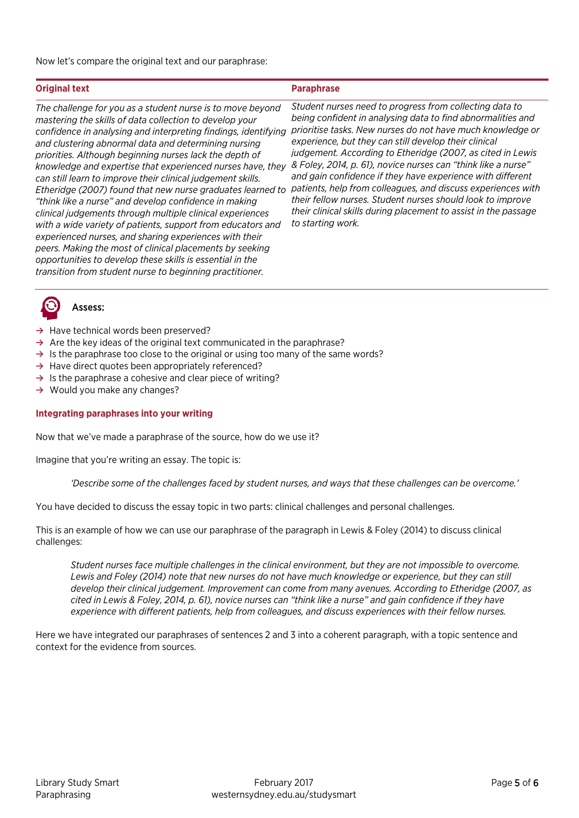Now let's compare the original text and our paraphrase:

## **Original text Paraphrase**

*The challenge for you as a student nurse is to move beyond mastering the skills of data collection to develop your confidence in analysing and interpreting findings, identifying and clustering abnormal data and determining nursing priorities. Although beginning nurses lack the depth of knowledge and expertise that experienced nurses have, they & Foley, 2014, p. 61), novice nurses can "think like a nurse" can still learn to improve their clinical judgement skills. Etheridge (2007) found that new nurse graduates learned to patients, help from colleagues, and discuss experiences with "think like a nurse" and develop confidence in making clinical judgements through multiple clinical experiences with a wide variety of patients, support from educators and experienced nurses, and sharing experiences with their peers. Making the most of clinical placements by seeking opportunities to develop these skills is essential in the transition from student nurse to beginning practitioner.*

*Student nurses need to progress from collecting data to being confident in analysing data to find abnormalities and prioritise tasks. New nurses do not have much knowledge or experience, but they can still develop their clinical judgement. According to Etheridge (2007, as cited in Lewis and gain confidence if they have experience with different their fellow nurses. Student nurses should look to improve their clinical skills during placement to assist in the passage to starting work.*



## Assess:

- **→** Have technical words been preserved?
- → Are the key ideas of the original text communicated in the paraphrase?
- → Is the paraphrase too close to the original or using too many of the same words?
- **→** Have direct quotes been appropriately referenced?
- **→** Is the paraphrase a cohesive and clear piece of writing?
- **→** Would you make any changes?

## **Integrating paraphrases into your writing**

Now that we've made a paraphrase of the source, how do we use it?

Imagine that you're writing an essay. The topic is:

*'Describe some of the challenges faced by student nurses, and ways that these challenges can be overcome.'* 

You have decided to discuss the essay topic in two parts: clinical challenges and personal challenges.

This is an example of how we can use our paraphrase of the paragraph in Lewis & Foley (2014) to discuss clinical challenges:

*Student nurses face multiple challenges in the clinical environment, but they are not impossible to overcome. Lewis and Foley (2014) note that new nurses do not have much knowledge or experience, but they can still develop their clinical judgement. Improvement can come from many avenues. According to Etheridge (2007, as cited in Lewis & Foley, 2014, p. 61), novice nurses can "think like a nurse" and gain confidence if they have experience with different patients, help from colleagues, and discuss experiences with their fellow nurses.*

Here we have integrated our paraphrases of sentences 2 and 3 into a coherent paragraph, with a topic sentence and context for the evidence from sources.